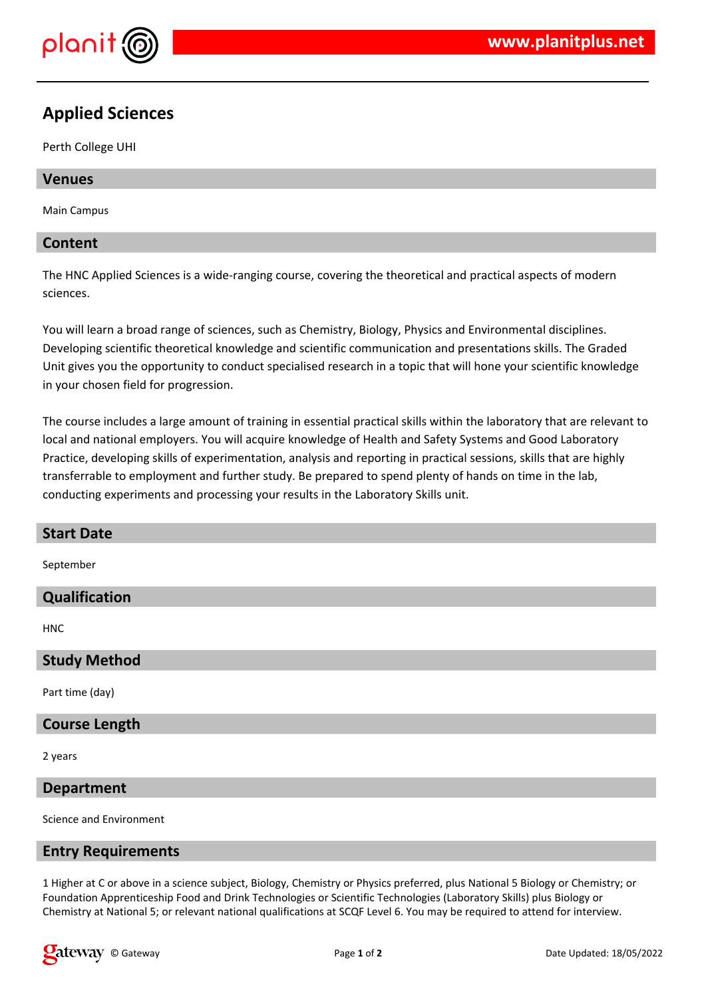

# **Applied Sciences**

Perth College UHI

### **Venues**

Main Campus

### **Content**

The HNC Applied Sciences is a wide-ranging course, covering the theoretical and practical aspects of modern sciences.

You will learn a broad range of sciences, such as Chemistry, Biology, Physics and Environmental disciplines. Developing scientific theoretical knowledge and scientific communication and presentations skills. The Graded Unit gives you the opportunity to conduct specialised research in a topic that will hone your scientific knowledge in your chosen field for progression.

The course includes a large amount of training in essential practical skills within the laboratory that are relevant to local and national employers. You will acquire knowledge of Health and Safety Systems and Good Laboratory Practice, developing skills of experimentation, analysis and reporting in practical sessions, skills that are highly transferrable to employment and further study. Be prepared to spend plenty of hands on time in the lab, conducting experiments and processing your results in the Laboratory Skills unit.

| <b>Start Date</b>    |
|----------------------|
| September            |
| Qualification        |
| <b>HNC</b>           |
| <b>Study Method</b>  |
| Part time (day)      |
| <b>Course Length</b> |
| 2 years              |

**Department**

Science and Environment

#### **Entry Requirements**

1 Higher at C or above in a science subject, Biology, Chemistry or Physics preferred, plus National 5 Biology or Chemistry; or Foundation Apprenticeship Food and Drink Technologies or Scientific Technologies (Laboratory Skills) plus Biology or Chemistry at National 5; or relevant national qualifications at SCQF Level 6. You may be required to attend for interview.